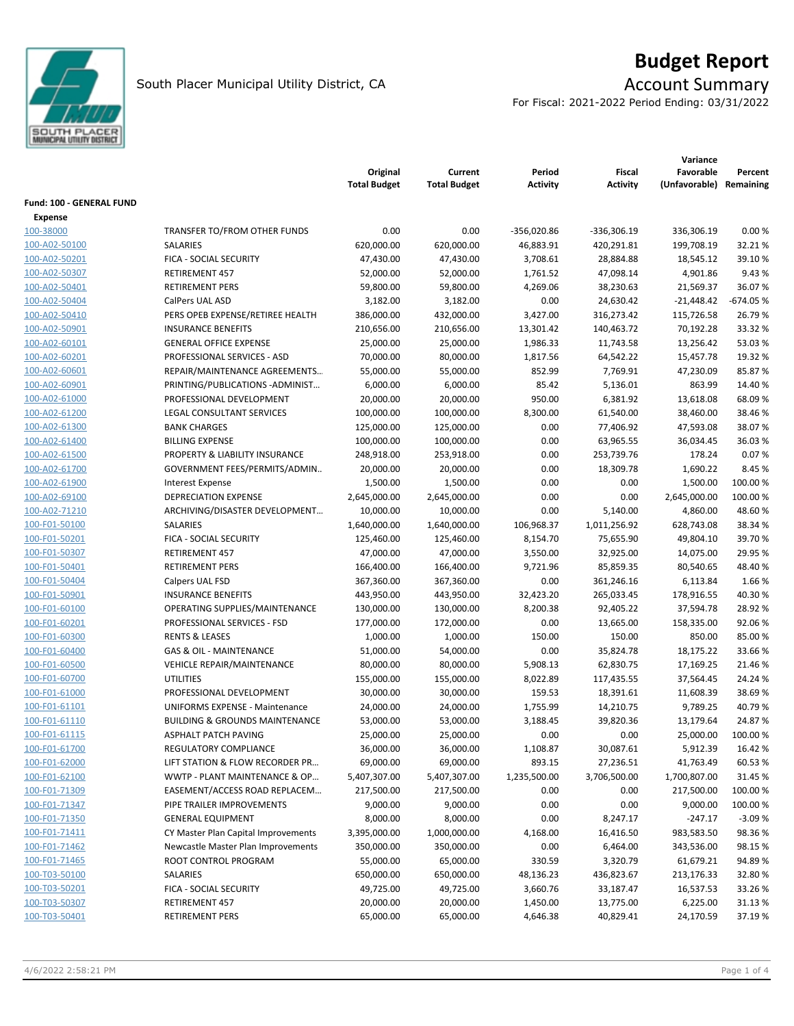

# **Budget Report**

For Fiscal: 2021-2022 Period Ending: 03/31/2022

|                          |                                           | Original<br><b>Total Budget</b> | Current<br><b>Total Budget</b> | Period<br>Activity | Fiscal<br><b>Activity</b> | Variance<br>Favorable<br>(Unfavorable) | Percent<br>Remaining |
|--------------------------|-------------------------------------------|---------------------------------|--------------------------------|--------------------|---------------------------|----------------------------------------|----------------------|
| Fund: 100 - GENERAL FUND |                                           |                                 |                                |                    |                           |                                        |                      |
| <b>Expense</b>           |                                           |                                 |                                |                    |                           |                                        |                      |
| 100-38000                | TRANSFER TO/FROM OTHER FUNDS              | 0.00                            | 0.00                           | -356,020.86        | $-336,306.19$             | 336,306.19                             | 0.00%                |
| 100-A02-50100            | SALARIES                                  | 620,000.00                      | 620,000.00                     | 46,883.91          | 420,291.81                | 199,708.19                             | 32.21%               |
| 100-A02-50201            | FICA - SOCIAL SECURITY                    | 47,430.00                       | 47,430.00                      | 3,708.61           | 28,884.88                 | 18,545.12                              | 39.10%               |
| 100-A02-50307            | <b>RETIREMENT 457</b>                     | 52,000.00                       | 52,000.00                      | 1,761.52           | 47,098.14                 | 4,901.86                               | 9.43 %               |
| 100-A02-50401            | <b>RETIREMENT PERS</b>                    | 59,800.00                       | 59,800.00                      | 4,269.06           | 38,230.63                 | 21,569.37                              | 36.07%               |
| 100-A02-50404            | CalPers UAL ASD                           | 3,182.00                        | 3,182.00                       | 0.00               | 24,630.42                 | $-21,448.42$                           | -674.05 %            |
| 100-A02-50410            | PERS OPEB EXPENSE/RETIREE HEALTH          | 386,000.00                      | 432,000.00                     | 3,427.00           | 316,273.42                | 115,726.58                             | 26.79%               |
| 100-A02-50901            | <b>INSURANCE BENEFITS</b>                 | 210,656.00                      | 210,656.00                     | 13,301.42          | 140,463.72                | 70,192.28                              | 33.32 %              |
| 100-A02-60101            | <b>GENERAL OFFICE EXPENSE</b>             | 25,000.00                       | 25,000.00                      | 1,986.33           | 11,743.58                 | 13,256.42                              | 53.03%               |
| 100-A02-60201            | PROFESSIONAL SERVICES - ASD               | 70,000.00                       | 80,000.00                      | 1,817.56           | 64,542.22                 | 15,457.78                              | 19.32 %              |
| 100-A02-60601            | REPAIR/MAINTENANCE AGREEMENTS             | 55,000.00                       | 55,000.00                      | 852.99             | 7,769.91                  | 47,230.09                              | 85.87%               |
| 100-A02-60901            | PRINTING/PUBLICATIONS - ADMINIST          | 6,000.00                        | 6,000.00                       | 85.42              | 5,136.01                  | 863.99                                 | 14.40 %              |
| 100-A02-61000            | PROFESSIONAL DEVELOPMENT                  | 20,000.00                       | 20,000.00                      | 950.00             | 6,381.92                  | 13,618.08                              | 68.09%               |
| 100-A02-61200            | LEGAL CONSULTANT SERVICES                 | 100,000.00                      | 100,000.00                     | 8,300.00           | 61,540.00                 | 38,460.00                              | 38.46%               |
| 100-A02-61300            | <b>BANK CHARGES</b>                       | 125,000.00                      | 125,000.00                     | 0.00               | 77,406.92                 | 47,593.08                              | 38.07%               |
| 100-A02-61400            | <b>BILLING EXPENSE</b>                    | 100,000.00                      |                                | 0.00               |                           | 36,034.45                              | 36.03%               |
| 100-A02-61500            |                                           |                                 | 100,000.00                     |                    | 63,965.55                 |                                        |                      |
|                          | PROPERTY & LIABILITY INSURANCE            | 248,918.00                      | 253,918.00                     | 0.00               | 253,739.76                | 178.24<br>1,690.22                     | 0.07%                |
| 100-A02-61700            | GOVERNMENT FEES/PERMITS/ADMIN             | 20,000.00                       | 20,000.00                      | 0.00               | 18,309.78                 |                                        | 8.45 %               |
| 100-A02-61900            | <b>Interest Expense</b>                   | 1,500.00                        | 1,500.00                       | 0.00               | 0.00                      | 1,500.00                               | 100.00 %             |
| 100-A02-69100            | <b>DEPRECIATION EXPENSE</b>               | 2,645,000.00                    | 2,645,000.00                   | 0.00               | 0.00                      | 2,645,000.00                           | 100.00%              |
| 100-A02-71210            | ARCHIVING/DISASTER DEVELOPMENT            | 10,000.00                       | 10,000.00                      | 0.00               | 5,140.00                  | 4,860.00                               | 48.60%               |
| 100-F01-50100            | SALARIES                                  | 1,640,000.00                    | 1,640,000.00                   | 106,968.37         | 1,011,256.92              | 628,743.08                             | 38.34 %              |
| 100-F01-50201            | FICA - SOCIAL SECURITY                    | 125,460.00                      | 125,460.00                     | 8,154.70           | 75,655.90                 | 49,804.10                              | 39.70%               |
| 100-F01-50307            | <b>RETIREMENT 457</b>                     | 47,000.00                       | 47,000.00                      | 3,550.00           | 32,925.00                 | 14,075.00                              | 29.95 %              |
| 100-F01-50401            | <b>RETIREMENT PERS</b>                    | 166,400.00                      | 166,400.00                     | 9,721.96           | 85,859.35                 | 80,540.65                              | 48.40%               |
| 100-F01-50404            | Calpers UAL FSD                           | 367,360.00                      | 367,360.00                     | 0.00               | 361,246.16                | 6,113.84                               | 1.66%                |
| 100-F01-50901            | <b>INSURANCE BENEFITS</b>                 | 443,950.00                      | 443,950.00                     | 32,423.20          | 265,033.45                | 178,916.55                             | 40.30%               |
| 100-F01-60100            | OPERATING SUPPLIES/MAINTENANCE            | 130,000.00                      | 130,000.00                     | 8,200.38           | 92,405.22                 | 37,594.78                              | 28.92 %              |
| 100-F01-60201            | PROFESSIONAL SERVICES - FSD               | 177,000.00                      | 172,000.00                     | 0.00               | 13,665.00                 | 158,335.00                             | 92.06%               |
| 100-F01-60300            | <b>RENTS &amp; LEASES</b>                 | 1,000.00                        | 1,000.00                       | 150.00             | 150.00                    | 850.00                                 | 85.00%               |
| 100-F01-60400            | <b>GAS &amp; OIL - MAINTENANCE</b>        | 51,000.00                       | 54,000.00                      | 0.00               | 35,824.78                 | 18,175.22                              | 33.66%               |
| 100-F01-60500            | VEHICLE REPAIR/MAINTENANCE                | 80,000.00                       | 80,000.00                      | 5,908.13           | 62,830.75                 | 17,169.25                              | 21.46%               |
| 100-F01-60700            | <b>UTILITIES</b>                          | 155,000.00                      | 155,000.00                     | 8,022.89           | 117,435.55                | 37,564.45                              | 24.24 %              |
| 100-F01-61000            | PROFESSIONAL DEVELOPMENT                  | 30,000.00                       | 30,000.00                      | 159.53             | 18,391.61                 | 11,608.39                              | 38.69%               |
| 100-F01-61101            | UNIFORMS EXPENSE - Maintenance            | 24,000.00                       | 24,000.00                      | 1,755.99           | 14,210.75                 | 9,789.25                               | 40.79%               |
| 100-F01-61110            | <b>BUILDING &amp; GROUNDS MAINTENANCE</b> | 53,000.00                       | 53,000.00                      | 3,188.45           | 39,820.36                 | 13,179.64                              | 24.87%               |
| 100-F01-61115            | ASPHALT PATCH PAVING                      | 25,000.00                       | 25,000.00                      | 0.00               | 0.00                      | 25,000.00                              | 100.00 %             |
| 100-F01-61700            | REGULATORY COMPLIANCE                     | 36,000.00                       | 36,000.00                      | 1,108.87           | 30,087.61                 | 5,912.39                               | 16.42 %              |
| 100-F01-62000            | LIFT STATION & FLOW RECORDER PR           | 69,000.00                       | 69,000.00                      | 893.15             | 27,236.51                 | 41,763.49                              | 60.53%               |
| 100-F01-62100            | WWTP - PLANT MAINTENANCE & OP             | 5,407,307.00                    | 5,407,307.00                   | 1,235,500.00       | 3,706,500.00              | 1,700,807.00                           | 31.45 %              |
| 100-F01-71309            | EASEMENT/ACCESS ROAD REPLACEM             | 217,500.00                      | 217,500.00                     | 0.00               | 0.00                      | 217,500.00                             | 100.00 %             |
| 100-F01-71347            | PIPE TRAILER IMPROVEMENTS                 | 9,000.00                        | 9,000.00                       | 0.00               | 0.00                      | 9,000.00                               | 100.00 %             |
| 100-F01-71350            | <b>GENERAL EQUIPMENT</b>                  | 8,000.00                        | 8,000.00                       | 0.00               | 8,247.17                  | $-247.17$                              | $-3.09%$             |
| 100-F01-71411            | CY Master Plan Capital Improvements       | 3,395,000.00                    | 1,000,000.00                   | 4,168.00           | 16,416.50                 | 983,583.50                             | 98.36%               |
| 100-F01-71462            | Newcastle Master Plan Improvements        | 350,000.00                      | 350,000.00                     | 0.00               | 6,464.00                  | 343,536.00                             | 98.15%               |
| 100-F01-71465            | ROOT CONTROL PROGRAM                      | 55,000.00                       | 65,000.00                      | 330.59             | 3,320.79                  | 61,679.21                              | 94.89%               |
| 100-T03-50100            | SALARIES                                  | 650,000.00                      | 650,000.00                     | 48,136.23          | 436,823.67                | 213,176.33                             | 32.80%               |
| 100-T03-50201            | FICA - SOCIAL SECURITY                    | 49,725.00                       | 49,725.00                      | 3,660.76           | 33,187.47                 | 16,537.53                              | 33.26%               |
| 100-T03-50307            | RETIREMENT 457                            | 20,000.00                       | 20,000.00                      | 1,450.00           | 13,775.00                 | 6,225.00                               | 31.13%               |
| 100-T03-50401            | <b>RETIREMENT PERS</b>                    | 65,000.00                       | 65,000.00                      | 4,646.38           | 40,829.41                 | 24,170.59                              | 37.19%               |
|                          |                                           |                                 |                                |                    |                           |                                        |                      |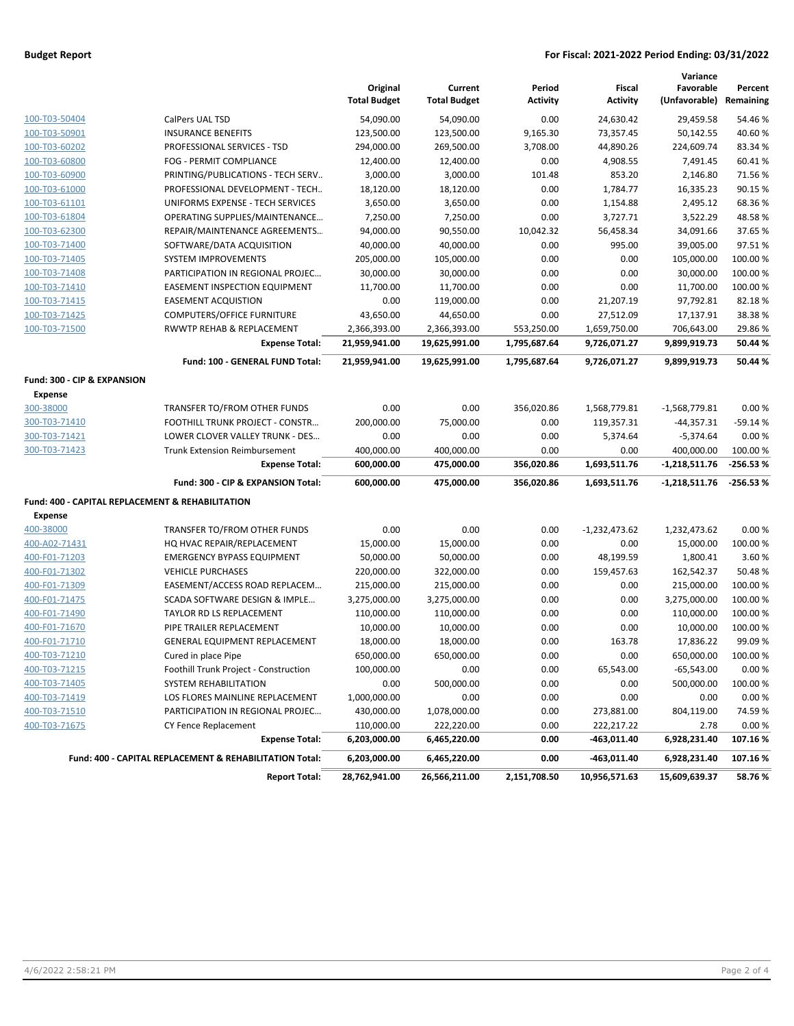### **Budget Report For Fiscal: 2021-2022 Period Ending: 03/31/2022**

|                                                             |                                                         | Original<br><b>Total Budget</b> | Current<br><b>Total Budget</b> | Period<br><b>Activity</b> | Fiscal<br><b>Activity</b>  | Variance<br>Favorable<br>(Unfavorable) | Percent<br>Remaining |
|-------------------------------------------------------------|---------------------------------------------------------|---------------------------------|--------------------------------|---------------------------|----------------------------|----------------------------------------|----------------------|
| 100-T03-50404                                               | CalPers UAL TSD                                         | 54,090.00                       | 54,090.00                      | 0.00                      | 24,630.42                  | 29,459.58                              | 54.46%               |
| 100-T03-50901                                               | <b>INSURANCE BENEFITS</b>                               | 123,500.00                      | 123,500.00                     | 9,165.30                  | 73,357.45                  | 50,142.55                              | 40.60%               |
| 100-T03-60202                                               | PROFESSIONAL SERVICES - TSD                             | 294,000.00                      | 269,500.00                     | 3,708.00                  | 44,890.26                  | 224,609.74                             | 83.34%               |
| 100-T03-60800                                               | FOG - PERMIT COMPLIANCE                                 | 12,400.00                       | 12,400.00                      | 0.00                      | 4,908.55                   | 7,491.45                               | 60.41%               |
| 100-T03-60900                                               | PRINTING/PUBLICATIONS - TECH SERV                       | 3,000.00                        | 3,000.00                       | 101.48                    | 853.20                     | 2,146.80                               | 71.56%               |
| 100-T03-61000                                               | PROFESSIONAL DEVELOPMENT - TECH                         | 18,120.00                       | 18,120.00                      | 0.00                      | 1,784.77                   | 16,335.23                              | 90.15%               |
| 100-T03-61101                                               | UNIFORMS EXPENSE - TECH SERVICES                        | 3,650.00                        | 3,650.00                       | 0.00                      | 1,154.88                   | 2,495.12                               | 68.36%               |
| 100-T03-61804                                               | OPERATING SUPPLIES/MAINTENANCE                          | 7,250.00                        | 7,250.00                       | 0.00                      | 3,727.71                   | 3,522.29                               | 48.58%               |
| 100-T03-62300                                               | REPAIR/MAINTENANCE AGREEMENTS                           | 94,000.00                       | 90,550.00                      | 10,042.32                 | 56,458.34                  | 34,091.66                              | 37.65%               |
| 100-T03-71400                                               | SOFTWARE/DATA ACQUISITION                               | 40,000.00                       | 40,000.00                      | 0.00                      | 995.00                     | 39,005.00                              | 97.51%               |
| 100-T03-71405                                               | <b>SYSTEM IMPROVEMENTS</b>                              | 205,000.00                      | 105,000.00                     | 0.00                      | 0.00                       | 105,000.00                             | 100.00 %             |
| 100-T03-71408                                               | PARTICIPATION IN REGIONAL PROJEC                        | 30,000.00                       | 30,000.00                      | 0.00                      | 0.00                       | 30,000.00                              | 100.00%              |
| 100-T03-71410                                               | <b>EASEMENT INSPECTION EQUIPMENT</b>                    | 11,700.00                       | 11,700.00                      | 0.00                      | 0.00                       | 11,700.00                              | 100.00%              |
| 100-T03-71415                                               | <b>EASEMENT ACQUISTION</b>                              | 0.00                            | 119,000.00                     | 0.00                      | 21,207.19                  | 97,792.81                              | 82.18%               |
| 100-T03-71425                                               | <b>COMPUTERS/OFFICE FURNITURE</b>                       | 43,650.00                       | 44,650.00                      | 0.00                      | 27,512.09                  | 17,137.91                              | 38.38%               |
| 100-T03-71500                                               | RWWTP REHAB & REPLACEMENT                               | 2,366,393.00                    | 2,366,393.00                   | 553,250.00                | 1,659,750.00               | 706,643.00                             | 29.86%               |
|                                                             | <b>Expense Total:</b>                                   | 21,959,941.00                   | 19,625,991.00                  | 1,795,687.64              | 9,726,071.27               | 9,899,919.73                           | 50.44 %              |
|                                                             | Fund: 100 - GENERAL FUND Total:                         | 21,959,941.00                   | 19,625,991.00                  | 1,795,687.64              | 9,726,071.27               | 9,899,919.73                           | 50.44 %              |
| Fund: 300 - CIP & EXPANSION                                 |                                                         |                                 |                                |                           |                            |                                        |                      |
| <b>Expense</b>                                              |                                                         |                                 |                                |                           |                            |                                        |                      |
| 300-38000                                                   | TRANSFER TO/FROM OTHER FUNDS                            | 0.00                            | 0.00                           | 356,020.86                | 1,568,779.81               | $-1,568,779.81$                        | 0.00%                |
| 300-T03-71410                                               | FOOTHILL TRUNK PROJECT - CONSTR                         | 200,000.00                      | 75,000.00                      | 0.00                      | 119,357.31                 | $-44,357.31$                           | $-59.14%$            |
| 300-T03-71421                                               | LOWER CLOVER VALLEY TRUNK - DES                         | 0.00                            | 0.00                           | 0.00                      | 5,374.64                   | $-5,374.64$                            | 0.00%                |
| 300-T03-71423                                               | <b>Trunk Extension Reimbursement</b>                    | 400,000.00                      | 400,000.00                     | 0.00                      | 0.00                       | 400,000.00                             | 100.00%              |
|                                                             | <b>Expense Total:</b>                                   | 600,000.00                      | 475,000.00                     | 356,020.86                | 1,693,511.76               | $-1,218,511.76$                        | -256.53%             |
|                                                             | Fund: 300 - CIP & EXPANSION Total:                      | 600,000.00                      | 475,000.00                     | 356,020.86                | 1,693,511.76               | $-1,218,511.76$                        | $-256.53%$           |
| <b>Fund: 400 - CAPITAL REPLACEMENT &amp; REHABILITATION</b> |                                                         |                                 |                                |                           |                            |                                        |                      |
| <b>Expense</b>                                              |                                                         |                                 |                                |                           |                            |                                        |                      |
| 400-38000                                                   | TRANSFER TO/FROM OTHER FUNDS                            | 0.00                            | 0.00                           | 0.00                      | $-1,232,473.62$            | 1,232,473.62                           | 0.00%                |
| 400-A02-71431                                               | HQ HVAC REPAIR/REPLACEMENT                              | 15,000.00                       | 15,000.00                      | 0.00                      | 0.00                       | 15,000.00                              | 100.00%              |
| 400-F01-71203                                               | <b>EMERGENCY BYPASS EQUIPMENT</b>                       | 50,000.00                       | 50,000.00                      | 0.00                      | 48,199.59                  | 1,800.41                               | 3.60%                |
| 400-F01-71302                                               | <b>VEHICLE PURCHASES</b>                                | 220,000.00                      | 322,000.00                     | 0.00                      | 159,457.63                 | 162,542.37                             | 50.48%               |
| 400-F01-71309                                               | EASEMENT/ACCESS ROAD REPLACEM                           | 215,000.00                      | 215,000.00                     | 0.00                      | 0.00                       | 215,000.00                             | 100.00 %             |
| 400-F01-71475                                               | SCADA SOFTWARE DESIGN & IMPLE                           | 3,275,000.00                    | 3,275,000.00                   | 0.00                      | 0.00                       | 3,275,000.00                           | 100.00%              |
| 400-F01-71490                                               | TAYLOR RD LS REPLACEMENT                                | 110,000.00                      | 110,000.00                     | 0.00                      | 0.00                       | 110,000.00                             | 100.00%              |
| 400-F01-71670                                               | PIPE TRAILER REPLACEMENT                                | 10,000.00                       | 10,000.00                      | 0.00                      | 0.00                       | 10,000.00                              | 100.00 %             |
| 400-F01-71710                                               | <b>GENERAL EQUIPMENT REPLACEMENT</b>                    | 18,000.00                       | 18,000.00                      | 0.00                      | 163.78                     | 17,836.22                              | 99.09%               |
| 400-T03-71210                                               | Cured in place Pipe                                     | 650,000.00                      | 650,000.00                     | 0.00                      | 0.00                       | 650,000.00                             | 100.00 %             |
| 400-T03-71215                                               | Foothill Trunk Project - Construction                   | 100,000.00                      | 0.00                           | 0.00                      | 65,543.00                  | $-65,543.00$                           | 0.00%                |
| 400-T03-71405                                               | SYSTEM REHABILITATION                                   | 0.00                            | 500,000.00                     | 0.00                      | 0.00                       | 500,000.00                             | 100.00%              |
| 400-T03-71419                                               | LOS FLORES MAINLINE REPLACEMENT                         | 1,000,000.00                    | 0.00                           | 0.00                      | 0.00                       | 0.00                                   | 0.00%                |
| 400-T03-71510                                               | PARTICIPATION IN REGIONAL PROJEC                        | 430,000.00                      | 1,078,000.00                   | 0.00                      | 273,881.00                 | 804,119.00                             | 74.59%               |
| 400-T03-71675                                               | CY Fence Replacement<br><b>Expense Total:</b>           | 110,000.00                      | 222,220.00<br>6,465,220.00     | 0.00<br>0.00              | 222,217.22                 | 2.78<br>6,928,231.40                   | 0.00%<br>107.16%     |
|                                                             | Fund: 400 - CAPITAL REPLACEMENT & REHABILITATION Total: | 6,203,000.00<br>6,203,000.00    | 6,465,220.00                   | 0.00                      | -463,011.40<br>-463,011.40 | 6,928,231.40                           | 107.16%              |
|                                                             | <b>Report Total:</b>                                    | 28,762,941.00                   | 26,566,211.00                  | 2,151,708.50              | 10,956,571.63              | 15,609,639.37                          | 58.76%               |
|                                                             |                                                         |                                 |                                |                           |                            |                                        |                      |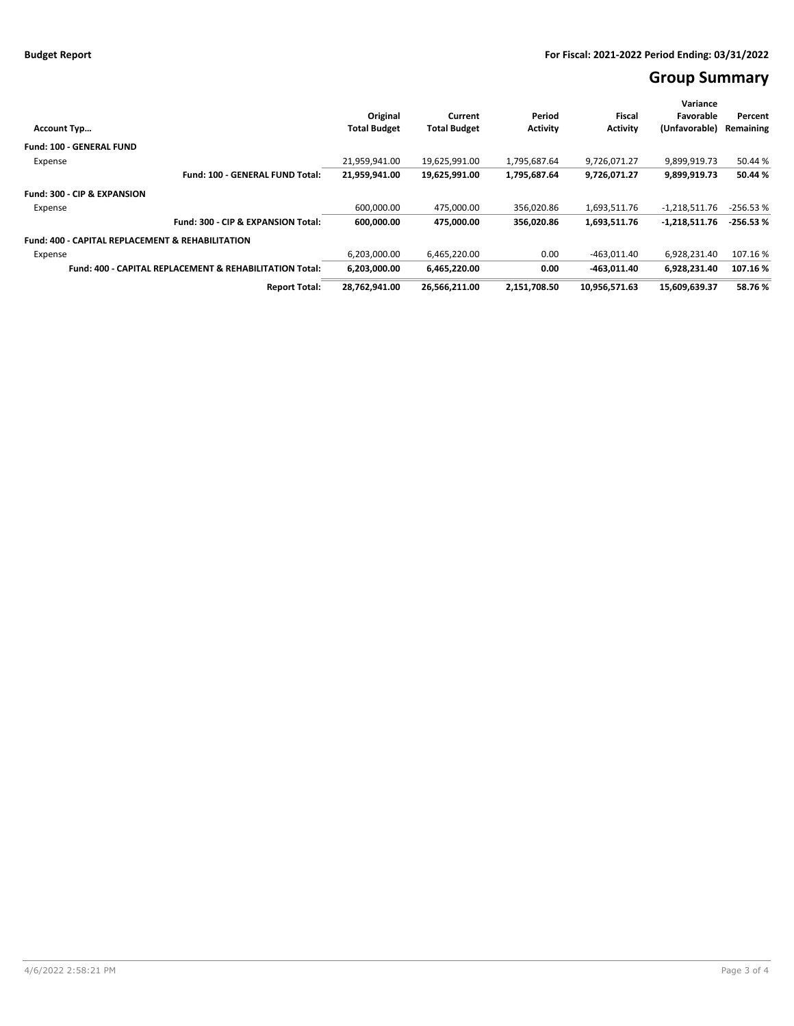# **Group Summary**

| <b>Account Typ</b>                                                 | Original<br><b>Total Budget</b> | Current<br><b>Total Budget</b> | Period<br><b>Activity</b> | Fiscal<br><b>Activity</b> | Variance<br>Favorable<br>(Unfavorable) | Percent<br>Remaining |
|--------------------------------------------------------------------|---------------------------------|--------------------------------|---------------------------|---------------------------|----------------------------------------|----------------------|
| <b>Fund: 100 - GENERAL FUND</b>                                    |                                 |                                |                           |                           |                                        |                      |
| Expense                                                            | 21.959.941.00                   | 19.625.991.00                  | 1.795.687.64              | 9.726.071.27              | 9.899.919.73                           | 50.44 %              |
| Fund: 100 - GENERAL FUND Total:                                    | 21,959,941.00                   | 19,625,991.00                  | 1,795,687.64              | 9,726,071.27              | 9,899,919.73                           | 50.44 %              |
| Fund: 300 - CIP & EXPANSION                                        |                                 |                                |                           |                           |                                        |                      |
| Expense                                                            | 600,000.00                      | 475,000.00                     | 356,020.86                | 1,693,511.76              | $-1,218,511.76$                        | $-256.53%$           |
| Fund: 300 - CIP & EXPANSION Total:                                 | 600,000.00                      | 475,000.00                     | 356.020.86                | 1,693,511.76              | $-1,218,511.76$                        | $-256.53%$           |
| <b>Fund: 400 - CAPITAL REPLACEMENT &amp; REHABILITATION</b>        |                                 |                                |                           |                           |                                        |                      |
| Expense                                                            | 6,203,000.00                    | 6,465,220.00                   | 0.00                      | $-463,011.40$             | 6,928,231.40                           | 107.16%              |
| <b>Fund: 400 - CAPITAL REPLACEMENT &amp; REHABILITATION Total:</b> | 6.203.000.00                    | 6,465,220.00                   | 0.00                      | $-463.011.40$             | 6.928.231.40                           | 107.16%              |
| <b>Report Total:</b>                                               | 28,762,941.00                   | 26,566,211.00                  | 2,151,708.50              | 10,956,571.63             | 15,609,639.37                          | 58.76%               |
|                                                                    |                                 |                                |                           |                           |                                        |                      |